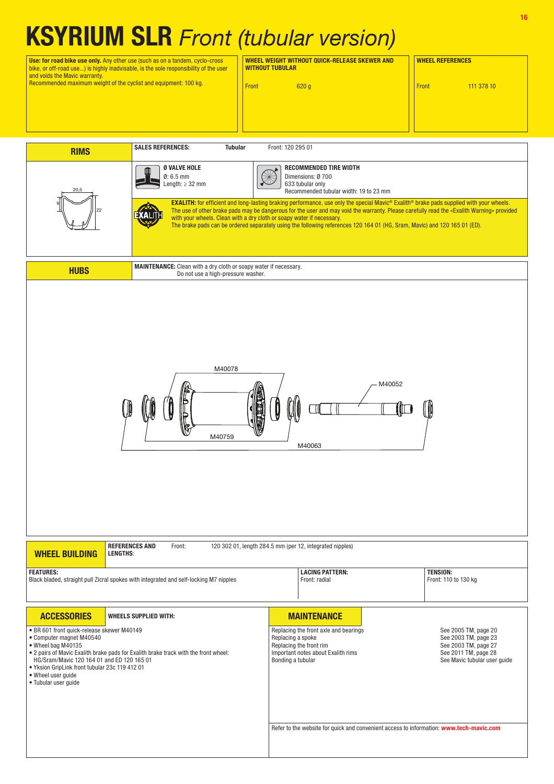## KSYRIUM SLR Front (tubular version)

Use: for road bike use only. Any other use (such as on a tandem, cyclo-cross bike, or off-road use...) is highly inadvisable, is the sole responsibility of the user and voids the Mavic warranty. Recommended maximum weight of the cyclist and equipment: 100 kg.

WHEEL WEIGHT WITHOUT QUICK-RELEASE SKEWER AND WHEEL REFERENCES WITHOUT TUBULAR

**Front** 620 g **Front** 620 g **Front** 111 378 10

| <b>RIMS</b>                                                                                                                                                                                                                                                                                                                       | <b>SALES REFERENCES:</b><br><b>Tubular</b>                                                                                                                                                                                                                                                                                                                                                                                                                                                         | Front: 120 295 01                                                                                                                                |                                                                                                                              |  |  |  |  |
|-----------------------------------------------------------------------------------------------------------------------------------------------------------------------------------------------------------------------------------------------------------------------------------------------------------------------------------|----------------------------------------------------------------------------------------------------------------------------------------------------------------------------------------------------------------------------------------------------------------------------------------------------------------------------------------------------------------------------------------------------------------------------------------------------------------------------------------------------|--------------------------------------------------------------------------------------------------------------------------------------------------|------------------------------------------------------------------------------------------------------------------------------|--|--|--|--|
| 20,5                                                                                                                                                                                                                                                                                                                              | Ø VALVE HOLE<br><b>RECOMMENDED TIRE WIDTH</b><br>$\mathscr{\mathscr{B}}$<br>$0:6.5$ mm<br>Dimensions: Ø 700<br>Length: $\geq$ 32 mm<br>633 tubular only<br>Recommended tubular width: 19 to 23 mm                                                                                                                                                                                                                                                                                                  |                                                                                                                                                  |                                                                                                                              |  |  |  |  |
|                                                                                                                                                                                                                                                                                                                                   | EXALITH: for efficient and long-lasting braking performance, use only the special Mavic® Exalith® brake pads supplied with your wheels.<br>The use of other brake pads may be dangerous for the user and may void the warranty. Please carefully read the «Exalith Warning» provided<br>KALI<br>with your wheels. Clean with a dry cloth or soapy water if necessary.<br>The brake pads can be ordered separately using the following references 120 164 01 (HG, Sram, Mavic) and 120 165 01 (ED). |                                                                                                                                                  |                                                                                                                              |  |  |  |  |
| <b>HUBS</b>                                                                                                                                                                                                                                                                                                                       | Do not use a high-pressure washer.                                                                                                                                                                                                                                                                                                                                                                                                                                                                 | <b>MAINTENANCE:</b> Clean with a dry cloth or soapy water if necessary.                                                                          |                                                                                                                              |  |  |  |  |
| M40078<br>M40052<br>IM<br>F<br>M40759<br>M40063                                                                                                                                                                                                                                                                                   |                                                                                                                                                                                                                                                                                                                                                                                                                                                                                                    |                                                                                                                                                  |                                                                                                                              |  |  |  |  |
| <b>WHEEL BUILDING</b>                                                                                                                                                                                                                                                                                                             | <b>REFERENCES AND</b><br>Front:<br><b>LENGTHS:</b>                                                                                                                                                                                                                                                                                                                                                                                                                                                 | 120 302 01, length 284.5 mm (per 12, integrated nipples)                                                                                         |                                                                                                                              |  |  |  |  |
| <b>FEATURES:</b>                                                                                                                                                                                                                                                                                                                  | Black bladed, straight pull Zicral spokes with integrated and self-locking M7 nipples                                                                                                                                                                                                                                                                                                                                                                                                              | <b>LACING PATTERN:</b><br>Front: radial                                                                                                          | <b>TENSION:</b><br>Front: 110 to 130 kg                                                                                      |  |  |  |  |
| <b>ACCESSORIES</b>                                                                                                                                                                                                                                                                                                                | <b>WHEELS SUPPLIED WITH:</b>                                                                                                                                                                                                                                                                                                                                                                                                                                                                       | <b>MAINTENANCE</b>                                                                                                                               |                                                                                                                              |  |  |  |  |
| · BR 601 front quick-release skewer M40149<br>• Computer magnet M40540<br>• Wheel bag M40135<br>. 2 pairs of Mavic Exalith brake pads for Exalith brake track with the front wheel:<br>HG/Sram/Mavic 120 164 01 and ED 120 165 01<br>. Yksion GripLink front tubular 23c 119 412 01<br>• Wheel user guide<br>· Tubular user guide |                                                                                                                                                                                                                                                                                                                                                                                                                                                                                                    | Replacing the front axle and bearings<br>Replacing a spoke<br>Replacing the front rim<br>Important notes about Exalith rims<br>Bonding a tubular | See 2005 TM, page 20<br>See 2003 TM, page 23<br>See 2003 TM, page 27<br>See 2011 TM, page 28<br>See Mavic tubular user guide |  |  |  |  |
|                                                                                                                                                                                                                                                                                                                                   |                                                                                                                                                                                                                                                                                                                                                                                                                                                                                                    | Refer to the website for quick and convenient access to information: www.tech-mavic.com                                                          |                                                                                                                              |  |  |  |  |